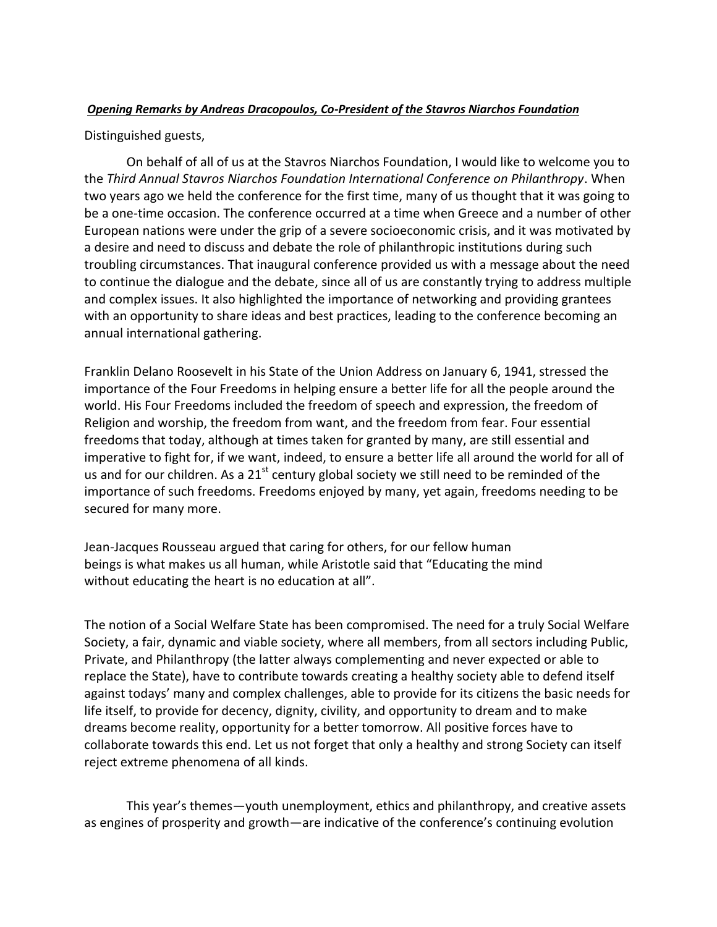## *Opening Remarks by Andreas Dracopoulos, Co-President of the Stavros Niarchos Foundation*

## Distinguished guests,

On behalf of all of us at the Stavros Niarchos Foundation, I would like to welcome you to the *Third Annual Stavros Niarchos Foundation International Conference on Philanthropy*. When two years ago we held the conference for the first time, many of us thought that it was going to be a one-time occasion. The conference occurred at a time when Greece and a number of other European nations were under the grip of a severe socioeconomic crisis, and it was motivated by a desire and need to discuss and debate the role of philanthropic institutions during such troubling circumstances. That inaugural conference provided us with a message about the need to continue the dialogue and the debate, since all of us are constantly trying to address multiple and complex issues. It also highlighted the importance of networking and providing grantees with an opportunity to share ideas and best practices, leading to the conference becoming an annual international gathering.

Franklin Delano Roosevelt in his State of the Union Address on January 6, 1941, stressed the importance of the Four Freedoms in helping ensure a better life for all the people around the world. His Four Freedoms included the freedom of speech and expression, the freedom of Religion and worship, the freedom from want, and the freedom from fear. Four essential freedoms that today, although at times taken for granted by many, are still essential and imperative to fight for, if we want, indeed, to ensure a better life all around the world for all of us and for our children. As a  $21^{st}$  century global society we still need to be reminded of the importance of such freedoms. Freedoms enjoyed by many, yet again, freedoms needing to be secured for many more.

Jean‐Jacques Rousseau argued that caring for others, for our fellow human beings is what makes us all human, while Aristotle said that "Educating the mind without educating the heart is no education at all".

The notion of a Social Welfare State has been compromised. The need for a truly Social Welfare Society, a fair, dynamic and viable society, where all members, from all sectors including Public, Private, and Philanthropy (the latter always complementing and never expected or able to replace the State), have to contribute towards creating a healthy society able to defend itself against todays' many and complex challenges, able to provide for its citizens the basic needs for life itself, to provide for decency, dignity, civility, and opportunity to dream and to make dreams become reality, opportunity for a better tomorrow. All positive forces have to collaborate towards this end. Let us not forget that only a healthy and strong Society can itself reject extreme phenomena of all kinds.

This year's themes—youth unemployment, ethics and philanthropy, and creative assets as engines of prosperity and growth—are indicative of the conference's continuing evolution